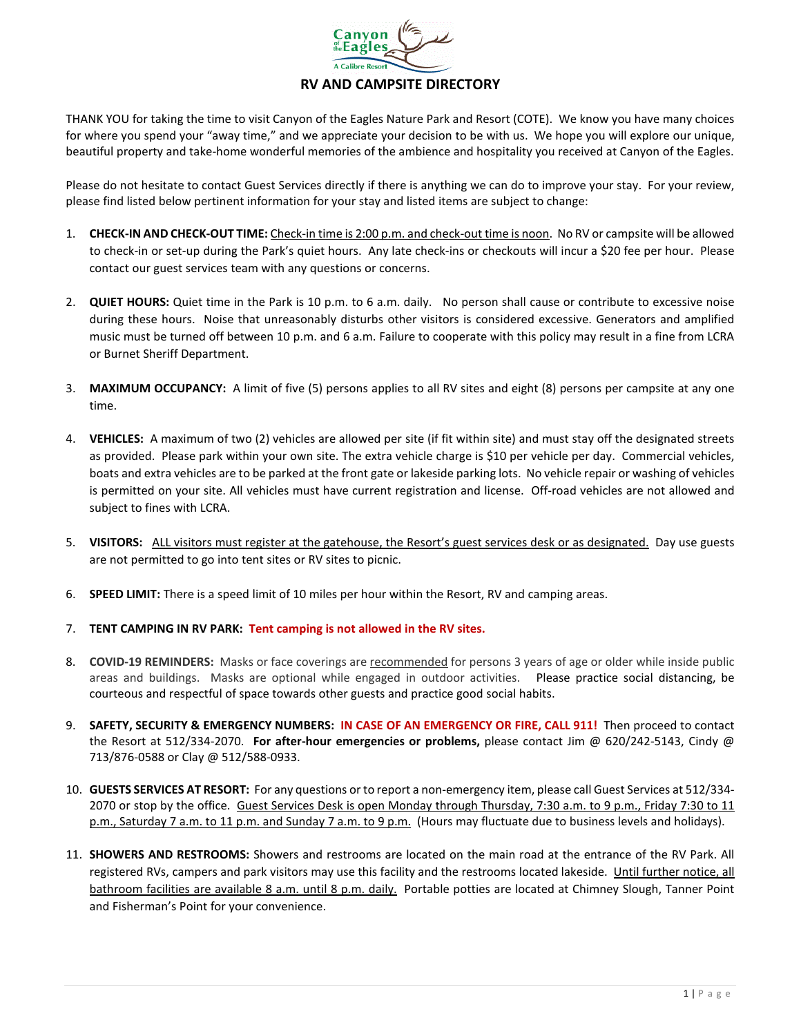

## **RV AND CAMPSITE DIRECTORY**

THANK YOU for taking the time to visit Canyon of the Eagles Nature Park and Resort (COTE). We know you have many choices for where you spend your "away time," and we appreciate your decision to be with us. We hope you will explore our unique, beautiful property and take-home wonderful memories of the ambience and hospitality you received at Canyon of the Eagles.

Please do not hesitate to contact Guest Services directly if there is anything we can do to improve your stay. For your review, please find listed below pertinent information for your stay and listed items are subject to change:

- 1. **CHECK-IN AND CHECK-OUT TIME:** Check-in time is 2:00 p.m. and check-out time is noon. No RV or campsite will be allowed to check-in or set-up during the Park's quiet hours. Any late check-ins or checkouts will incur a \$20 fee per hour. Please contact our guest services team with any questions or concerns.
- 2. **QUIET HOURS:** Quiet time in the Park is 10 p.m. to 6 a.m. daily. No person shall cause or contribute to excessive noise during these hours. Noise that unreasonably disturbs other visitors is considered excessive. Generators and amplified music must be turned off between 10 p.m. and 6 a.m. Failure to cooperate with this policy may result in a fine from LCRA or Burnet Sheriff Department.
- 3. **MAXIMUM OCCUPANCY:** A limit of five (5) persons applies to all RV sites and eight (8) persons per campsite at any one time.
- 4. **VEHICLES:** A maximum of two (2) vehicles are allowed per site (if fit within site) and must stay off the designated streets as provided. Please park within your own site. The extra vehicle charge is \$10 per vehicle per day. Commercial vehicles, boats and extra vehicles are to be parked at the front gate or lakeside parking lots. No vehicle repair or washing of vehicles is permitted on your site. All vehicles must have current registration and license. Off-road vehicles are not allowed and subject to fines with LCRA.
- 5. **VISITORS:** ALL visitors must register at the gatehouse, the Resort's guest services desk or as designated. Day use guests are not permitted to go into tent sites or RV sites to picnic.
- 6. **SPEED LIMIT:** There is a speed limit of 10 miles per hour within the Resort, RV and camping areas.
- 7. **TENT CAMPING IN RV PARK: Tent camping is not allowed in the RV sites.**
- 8. **COVID-19 REMINDERS:** Masks or face coverings are recommended for persons 3 years of age or older while inside public areas and buildings. Masks are optional while engaged in outdoor activities. Please practice social distancing, be courteous and respectful of space towards other guests and practice good social habits.
- 9. **SAFETY, SECURITY & EMERGENCY NUMBERS: IN CASE OF AN EMERGENCY OR FIRE, CALL 911!** Then proceed to contact the Resort at 512/334-2070. **For after-hour emergencies or problems,** please contact Jim @ 620/242-5143, Cindy @ 713/876-0588 or Clay @ 512/588-0933.
- 10. **GUESTS SERVICES AT RESORT:** For any questions or to report a non-emergency item, please call Guest Services at 512/334- 2070 or stop by the office. Guest Services Desk is open Monday through Thursday, 7:30 a.m. to 9 p.m., Friday 7:30 to 11 p.m., Saturday 7 a.m. to 11 p.m. and Sunday 7 a.m. to 9 p.m. (Hours may fluctuate due to business levels and holidays).
- 11. **SHOWERS AND RESTROOMS:** Showers and restrooms are located on the main road at the entrance of the RV Park. All registered RVs, campers and park visitors may use this facility and the restrooms located lakeside. Until further notice, all bathroom facilities are available 8 a.m. until 8 p.m. daily. Portable potties are located at Chimney Slough, Tanner Point and Fisherman's Point for your convenience.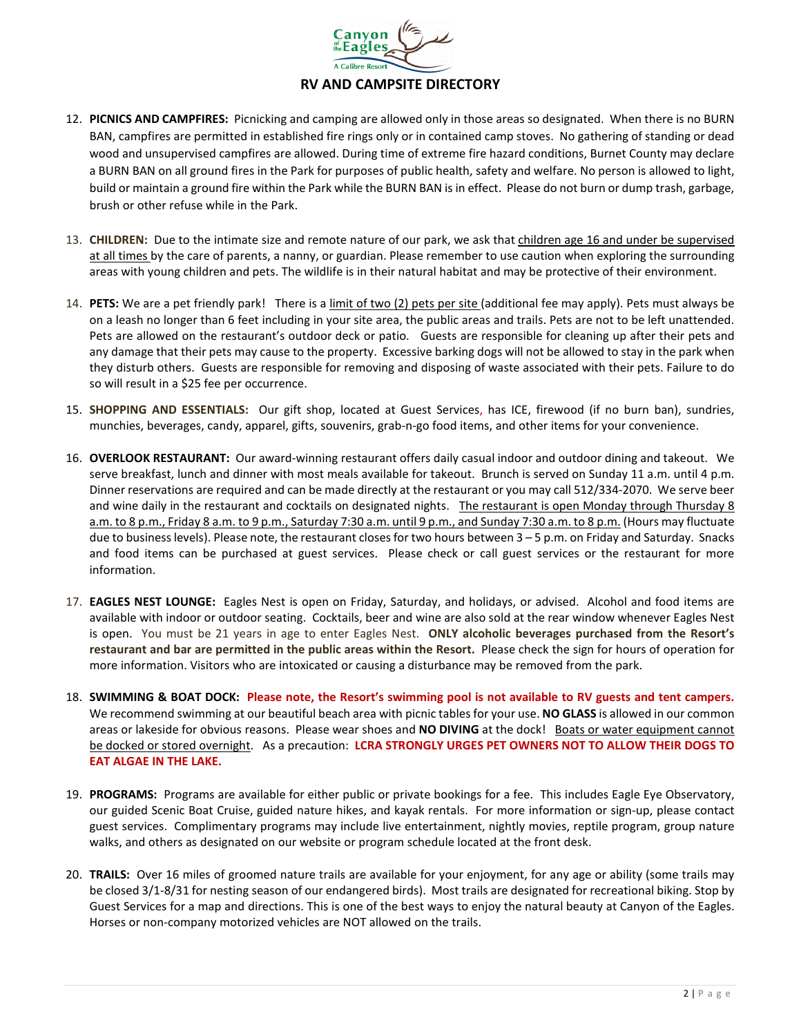

## **RV AND CAMPSITE DIRECTORY**

- 12. **PICNICS AND CAMPFIRES:** Picnicking and camping are allowed only in those areas so designated. When there is no BURN BAN, campfires are permitted in established fire rings only or in contained camp stoves. No gathering of standing or dead wood and unsupervised campfires are allowed. During time of extreme fire hazard conditions, Burnet County may declare a BURN BAN on all ground fires in the Park for purposes of public health, safety and welfare. No person is allowed to light, build or maintain a ground fire within the Park while the BURN BAN is in effect. Please do not burn or dump trash, garbage, brush or other refuse while in the Park.
- 13. **CHILDREN:** Due to the intimate size and remote nature of our park, we ask that children age 16 and under be supervised at all times by the care of parents, a nanny, or guardian. Please remember to use caution when exploring the surrounding areas with young children and pets. The wildlife is in their natural habitat and may be protective of their environment.
- 14. **PETS:** We are a pet friendly park! There is a limit of two (2) pets per site (additional fee may apply). Pets must always be on a leash no longer than 6 feet including in your site area, the public areas and trails. Pets are not to be left unattended. Pets are allowed on the restaurant's outdoor deck or patio. Guests are responsible for cleaning up after their pets and any damage that their pets may cause to the property. Excessive barking dogs will not be allowed to stay in the park when they disturb others. Guests are responsible for removing and disposing of waste associated with their pets. Failure to do so will result in a \$25 fee per occurrence.
- 15. **SHOPPING AND ESSENTIALS:** Our gift shop, located at Guest Services, has ICE, firewood (if no burn ban), sundries, munchies, beverages, candy, apparel, gifts, souvenirs, grab-n-go food items, and other items for your convenience.
- 16. **OVERLOOK RESTAURANT:** Our award-winning restaurant offers daily casual indoor and outdoor dining and takeout. We serve breakfast, lunch and dinner with most meals available for takeout. Brunch is served on Sunday 11 a.m. until 4 p.m. Dinner reservations are required and can be made directly at the restaurant or you may call 512/334-2070. We serve beer and wine daily in the restaurant and cocktails on designated nights. The restaurant is open Monday through Thursday 8 a.m. to 8 p.m., Friday 8 a.m. to 9 p.m., Saturday 7:30 a.m. until 9 p.m., and Sunday 7:30 a.m. to 8 p.m. (Hours may fluctuate due to business levels). Please note, the restaurant closes for two hours between 3 – 5 p.m. on Friday and Saturday. Snacks and food items can be purchased at guest services. Please check or call guest services or the restaurant for more information.
- 17. **EAGLES NEST LOUNGE:** Eagles Nest is open on Friday, Saturday, and holidays, or advised. Alcohol and food items are available with indoor or outdoor seating. Cocktails, beer and wine are also sold at the rear window whenever Eagles Nest is open. You must be 21 years in age to enter Eagles Nest. **ONLY alcoholic beverages purchased from the Resort's restaurant and bar are permitted in the public areas within the Resort.** Please check the sign for hours of operation for more information. Visitors who are intoxicated or causing a disturbance may be removed from the park.
- 18. **SWIMMING & BOAT DOCK: Please note, the Resort's swimming pool is not available to RV guests and tent campers.** We recommend swimming at our beautiful beach area with picnic tables for your use. **NO GLASS** is allowed in our common areas or lakeside for obvious reasons. Please wear shoes and **NO DIVING** at the dock! Boats or water equipment cannot be docked or stored overnight. As a precaution: **LCRA STRONGLY URGES PET OWNERS NOT TO ALLOW THEIR DOGS TO EAT ALGAE IN THE LAKE.**
- 19. **PROGRAMS:** Programs are available for either public or private bookings for a fee. This includes Eagle Eye Observatory, our guided Scenic Boat Cruise, guided nature hikes, and kayak rentals. For more information or sign-up, please contact guest services. Complimentary programs may include live entertainment, nightly movies, reptile program, group nature walks, and others as designated on our website or program schedule located at the front desk.
- 20. **TRAILS:** Over 16 miles of groomed nature trails are available for your enjoyment, for any age or ability (some trails may be closed 3/1-8/31 for nesting season of our endangered birds). Most trails are designated for recreational biking. Stop by Guest Services for a map and directions. This is one of the best ways to enjoy the natural beauty at Canyon of the Eagles. Horses or non-company motorized vehicles are NOT allowed on the trails.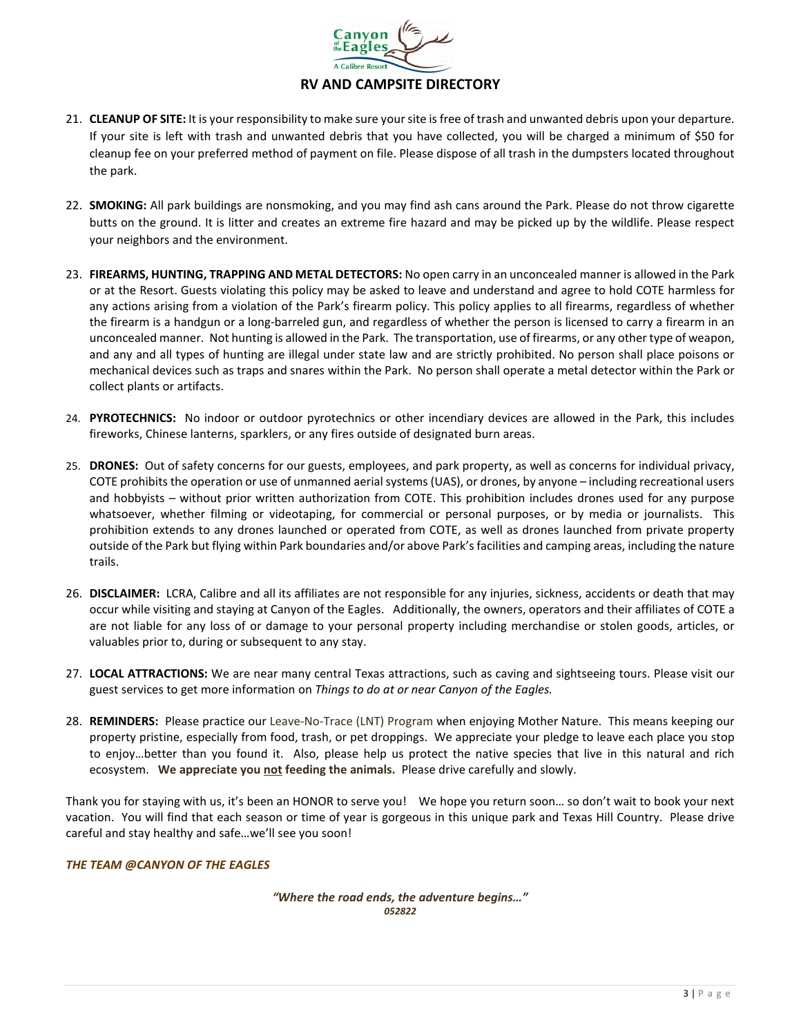

## **RV AND CAMPSITE DIRECTORY**

- 21. **CLEANUP OF SITE:** It is your responsibility to make sure your site is free of trash and unwanted debris upon your departure. If your site is left with trash and unwanted debris that you have collected, you will be charged a minimum of \$50 for cleanup fee on your preferred method of payment on file. Please dispose of all trash in the dumpsters located throughout the park.
- 22. **SMOKING:** All park buildings are nonsmoking, and you may find ash cans around the Park. Please do not throw cigarette butts on the ground. It is litter and creates an extreme fire hazard and may be picked up by the wildlife. Please respect your neighbors and the environment.
- 23. **FIREARMS, HUNTING, TRAPPING AND METAL DETECTORS:** No open carry in an unconcealed manner is allowed in the Park or at the Resort. Guests violating this policy may be asked to leave and understand and agree to hold COTE harmless for any actions arising from a violation of the Park's firearm policy. This policy applies to all firearms, regardless of whether the firearm is a handgun or a long-barreled gun, and regardless of whether the person is licensed to carry a firearm in an unconcealed manner. Not hunting is allowed in the Park. The transportation, use of firearms, or any other type of weapon, and any and all types of hunting are illegal under state law and are strictly prohibited. No person shall place poisons or mechanical devices such as traps and snares within the Park. No person shall operate a metal detector within the Park or collect plants or artifacts.
- 24. **PYROTECHNICS:** No indoor or outdoor pyrotechnics or other incendiary devices are allowed in the Park, this includes fireworks, Chinese lanterns, sparklers, or any fires outside of designated burn areas.
- 25. **DRONES:** Out of safety concerns for our guests, employees, and park property, as well as concerns for individual privacy, COTE prohibits the operation or use of unmanned aerial systems (UAS), or drones, by anyone – including recreational users and hobbyists – without prior written authorization from COTE. This prohibition includes drones used for any purpose whatsoever, whether filming or videotaping, for commercial or personal purposes, or by media or journalists. This prohibition extends to any drones launched or operated from COTE, as well as drones launched from private property outside of the Park but flying within Park boundaries and/or above Park's facilities and camping areas, including the nature trails.
- 26. **DISCLAIMER:** LCRA, Calibre and all its affiliates are not responsible for any injuries, sickness, accidents or death that may occur while visiting and staying at Canyon of the Eagles. Additionally, the owners, operators and their affiliates of COTE a are not liable for any loss of or damage to your personal property including merchandise or stolen goods, articles, or valuables prior to, during or subsequent to any stay.
- 27. **LOCAL ATTRACTIONS:** We are near many central Texas attractions, such as caving and sightseeing tours. Please visit our guest services to get more information on *Things to do at or near Canyon of the Eagles.*
- 28. **REMINDERS:** Please practice our Leave-No-Trace (LNT) Program when enjoying Mother Nature. This means keeping our property pristine, especially from food, trash, or pet droppings. We appreciate your pledge to leave each place you stop to enjoy…better than you found it. Also, please help us protect the native species that live in this natural and rich ecosystem. **We appreciate you not feeding the animals.** Please drive carefully and slowly.

Thank you for staying with us, it's been an HONOR to serve you! We hope you return soon… so don't wait to book your next vacation. You will find that each season or time of year is gorgeous in this unique park and Texas Hill Country. Please drive careful and stay healthy and safe…we'll see you soon!

## *THE TEAM @CANYON OF THE EAGLES*

*"Where the road ends, the adventure begins…" 052822*